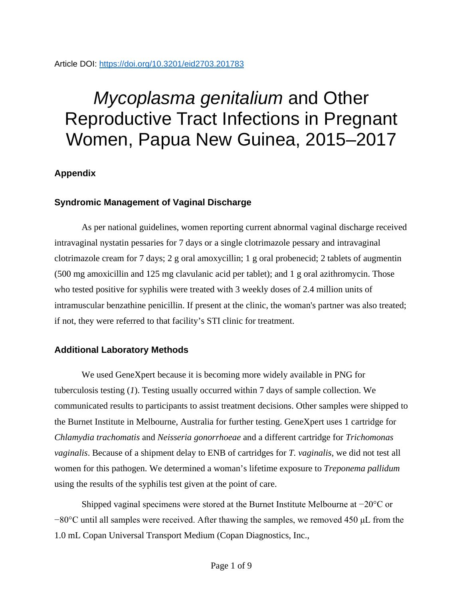## Article DOI:<https://doi.org/10.3201/eid2703.201783>

# *Mycoplasma genitalium* and Other Reproductive Tract Infections in Pregnant Women, Papua New Guinea, 2015–2017

## **Appendix**

## **Syndromic Management of Vaginal Discharge**

As per national guidelines, women reporting current abnormal vaginal discharge received intravaginal nystatin pessaries for 7 days or a single clotrimazole pessary and intravaginal clotrimazole cream for 7 days; 2 g oral amoxycillin; 1 g oral probenecid; 2 tablets of augmentin (500 mg amoxicillin and 125 mg clavulanic acid per tablet); and 1 g oral azithromycin. Those who tested positive for syphilis were treated with 3 weekly doses of 2.4 million units of intramuscular benzathine penicillin. If present at the clinic, the woman's partner was also treated; if not, they were referred to that facility's STI clinic for treatment.

## **Additional Laboratory Methods**

We used GeneXpert because it is becoming more widely available in PNG for tuberculosis testing (*1*). Testing usually occurred within 7 days of sample collection. We communicated results to participants to assist treatment decisions. Other samples were shipped to the Burnet Institute in Melbourne, Australia for further testing. GeneXpert uses 1 cartridge for *Chlamydia trachomatis* and *Neisseria gonorrhoeae* and a different cartridge for *Trichomonas vaginalis*. Because of a shipment delay to ENB of cartridges for *T. vaginalis*, we did not test all women for this pathogen. We determined a woman's lifetime exposure to *Treponema pallidum* using the results of the syphilis test given at the point of care.

Shipped vaginal specimens were stored at the Burnet Institute Melbourne at −20°C or −80°C until all samples were received. After thawing the samples, we removed 450 μL from the 1.0 mL Copan Universal Transport Medium (Copan Diagnostics, Inc.,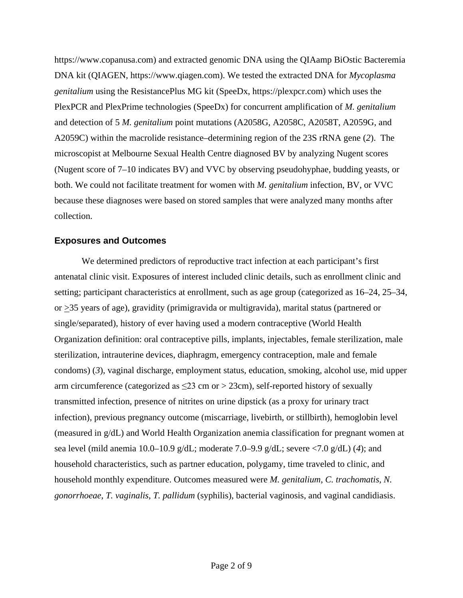https://www.copanusa.com) and extracted genomic DNA using the QIAamp BiOstic Bacteremia DNA kit (QIAGEN, https://www.qiagen.com). We tested the extracted DNA for *Mycoplasma genitalium* using the ResistancePlus MG kit (SpeeDx, https://plexpcr.com) which uses the PlexPCR and PlexPrime technologies (SpeeDx) for concurrent amplification of *M. genitalium* and detection of 5 *M. genitalium* point mutations (A2058G, A2058C, A2058T, A2059G, and A2059C) within the macrolide resistance–determining region of the 23S rRNA gene (*2*). The microscopist at Melbourne Sexual Health Centre diagnosed BV by analyzing Nugent scores (Nugent score of 7–10 indicates BV) and VVC by observing pseudohyphae, budding yeasts, or both. We could not facilitate treatment for women with *M. genitalium* infection, BV, or VVC because these diagnoses were based on stored samples that were analyzed many months after collection.

#### **Exposures and Outcomes**

We determined predictors of reproductive tract infection at each participant's first antenatal clinic visit. Exposures of interest included clinic details, such as enrollment clinic and setting; participant characteristics at enrollment, such as age group (categorized as 16–24, 25–34, or  $\geq$ 35 years of age), gravidity (primigravida or multigravida), marital status (partnered or single/separated), history of ever having used a modern contraceptive (World Health Organization definition: oral contraceptive pills, implants, injectables, female sterilization, male sterilization, intrauterine devices, diaphragm, emergency contraception, male and female condoms) (*3*), vaginal discharge, employment status, education, smoking, alcohol use, mid upper arm circumference (categorized as  $\leq$ 23 cm or > 23 cm), self-reported history of sexually transmitted infection, presence of nitrites on urine dipstick (as a proxy for urinary tract infection), previous pregnancy outcome (miscarriage, livebirth, or stillbirth), hemoglobin level (measured in g/dL) and World Health Organization anemia classification for pregnant women at sea level (mild anemia 10.0–10.9 g/dL; moderate 7.0–9.9 g/dL; severe <7.0 g/dL) (*4*); and household characteristics, such as partner education, polygamy, time traveled to clinic, and household monthly expenditure. Outcomes measured were *M. genitalium*, *C. trachomatis*, *N. gonorrhoeae*, *T. vaginalis*, *T. pallidum* (syphilis), bacterial vaginosis, and vaginal candidiasis.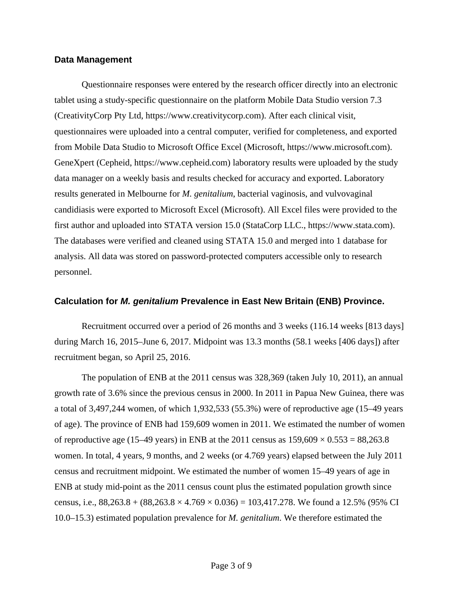#### **Data Management**

Questionnaire responses were entered by the research officer directly into an electronic tablet using a study-specific questionnaire on the platform Mobile Data Studio version 7.3 (CreativityCorp Pty Ltd, https://www.creativitycorp.com). After each clinical visit, questionnaires were uploaded into a central computer, verified for completeness, and exported from Mobile Data Studio to Microsoft Office Excel (Microsoft, https://www.microsoft.com). GeneXpert (Cepheid, https://www.cepheid.com) laboratory results were uploaded by the study data manager on a weekly basis and results checked for accuracy and exported. Laboratory results generated in Melbourne for *M. genitalium*, bacterial vaginosis, and vulvovaginal candidiasis were exported to Microsoft Excel (Microsoft). All Excel files were provided to the first author and uploaded into STATA version 15.0 (StataCorp LLC., https://www.stata.com). The databases were verified and cleaned using STATA 15.0 and merged into 1 database for analysis. All data was stored on password-protected computers accessible only to research personnel.

### **Calculation for** *M. genitalium* **Prevalence in East New Britain (ENB) Province.**

Recruitment occurred over a period of 26 months and 3 weeks (116.14 weeks [813 days] during March 16, 2015–June 6, 2017. Midpoint was 13.3 months (58.1 weeks [406 days]) after recruitment began, so April 25, 2016.

The population of ENB at the 2011 census was 328,369 (taken July 10, 2011), an annual growth rate of 3.6% since the previous census in 2000. In 2011 in Papua New Guinea, there was a total of 3,497,244 women, of which 1,932,533 (55.3%) were of reproductive age (15–49 years of age). The province of ENB had 159,609 women in 2011. We estimated the number of women of reproductive age (15–49 years) in ENB at the 2011 census as  $159,609 \times 0.553 = 88,263.8$ women. In total, 4 years, 9 months, and 2 weeks (or 4.769 years) elapsed between the July 2011 census and recruitment midpoint. We estimated the number of women 15–49 years of age in ENB at study mid-point as the 2011 census count plus the estimated population growth since census, i.e.,  $88,263.8 + (88,263.8 \times 4.769 \times 0.036) = 103,417.278$ . We found a 12.5% (95% CI 10.0–15.3) estimated population prevalence for *M. genitalium*. We therefore estimated the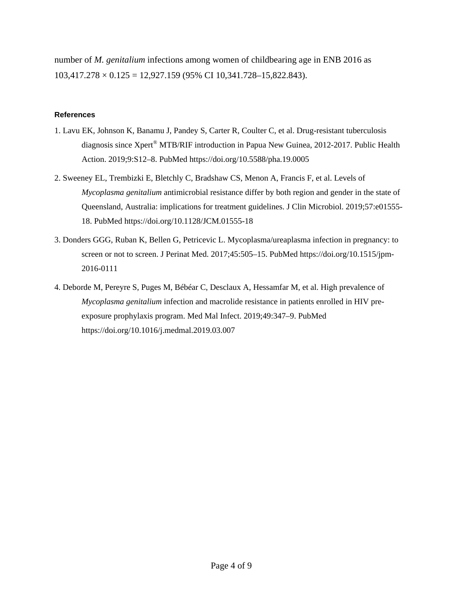number of *M. genitalium* infections among women of childbearing age in ENB 2016 as  $103,417.278 \times 0.125 = 12,927.159$  (95% CI 10,341.728-15,822.843).

#### **References**

- 1. Lavu EK, Johnson K, Banamu J, Pandey S, Carter R, Coulter C, et al. Drug-resistant tuberculosis diagnosis since Xpert® MTB/RIF introduction in Papua New Guinea, 2012-2017. Public Health Action. 2019;9:S12–8. [PubMed](https://www.ncbi.nlm.nih.gov/entrez/query.fcgi?cmd=Retrieve&db=PubMed&list_uids=31579644&dopt=Abstract) <https://doi.org/10.5588/pha.19.0005>
- 2. Sweeney EL, Trembizki E, Bletchly C, Bradshaw CS, Menon A, Francis F, et al. Levels of *Mycoplasma genitalium* antimicrobial resistance differ by both region and gender in the state of Queensland, Australia: implications for treatment guidelines. J Clin Microbiol. 2019;57:e01555- 18. [PubMed](https://www.ncbi.nlm.nih.gov/entrez/query.fcgi?cmd=Retrieve&db=PubMed&list_uids=30602443&dopt=Abstract) <https://doi.org/10.1128/JCM.01555-18>
- 3. Donders GGG, Ruban K, Bellen G, Petricevic L. Mycoplasma/ureaplasma infection in pregnancy: to screen or not to screen. J Perinat Med. 2017;45:505–15. [PubMed](https://www.ncbi.nlm.nih.gov/entrez/query.fcgi?cmd=Retrieve&db=PubMed&list_uids=28099135&dopt=Abstract) [https://doi.org/10.1515/jpm-](https://doi.org/10.1515/jpm-2016-0111)[2016-0111](https://doi.org/10.1515/jpm-2016-0111)
- 4. Deborde M, Pereyre S, Puges M, Bébéar C, Desclaux A, Hessamfar M, et al. High prevalence of *Mycoplasma genitalium* infection and macrolide resistance in patients enrolled in HIV preexposure prophylaxis program. Med Mal Infect. 2019;49:347–9. [PubMed](https://www.ncbi.nlm.nih.gov/entrez/query.fcgi?cmd=Retrieve&db=PubMed&list_uids=30914213&dopt=Abstract) <https://doi.org/10.1016/j.medmal.2019.03.007>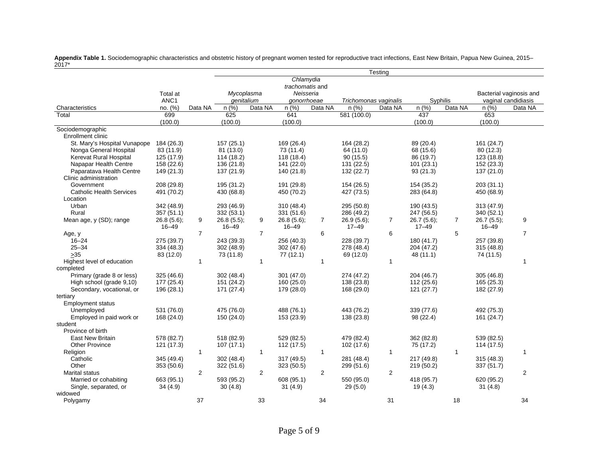|                                 |                  | Testing        |            |                |                 |                |                          |                |            |                |            |                         |
|---------------------------------|------------------|----------------|------------|----------------|-----------------|----------------|--------------------------|----------------|------------|----------------|------------|-------------------------|
|                                 |                  |                | Chlamydia  |                |                 |                |                          |                |            |                |            |                         |
|                                 |                  |                |            |                | trachomatis and |                |                          |                |            |                |            |                         |
|                                 | Total at         |                | Mycoplasma |                | Neisseria       |                |                          |                |            |                |            | Bacterial vaginosis and |
|                                 | ANC <sub>1</sub> |                | genitalium |                | gonorrhoeae     |                | Trichomonas vaginalis    |                |            | Syphilis       |            | vaginal candidiasis     |
| Characteristics                 | no. (%)          | Data NA        | n(%)       | Data NA        | n(%)            | Data NA        | n (%)                    | Data NA        | n (%)      | Data NA        | n (%)      | Data NA                 |
| Total                           | 699              |                | 625        |                | 641             |                | $\overline{581}$ (100.0) |                | 437        |                | 653        |                         |
|                                 | (100.0)          |                | (100.0)    |                | (100.0)         |                |                          |                | (100.0)    |                | (100.0)    |                         |
| Sociodemographic                |                  |                |            |                |                 |                |                          |                |            |                |            |                         |
| <b>Enrollment clinic</b>        |                  |                |            |                |                 |                |                          |                |            |                |            |                         |
| St. Mary's Hospital Vunapope    | 184 (26.3)       |                | 157(25.1)  |                | 169 (26.4)      |                | 164 (28.2)               |                | 89 (20.4)  |                | 161 (24.7) |                         |
| Nonga General Hospital          | 83 (11.9)        |                | 81 (13.0)  |                | 73 (11.4)       |                | 64 (11.0)                |                | 68 (15.6)  |                | 80 (12.3)  |                         |
| Kerevat Rural Hospital          | 125 (17.9)       |                | 114 (18.2) |                | 118 (18.4)      |                | 90(15.5)                 |                | 86 (19.7)  |                | 123 (18.8) |                         |
| Napapar Health Centre           | 158 (22.6)       |                | 136 (21.8) |                | 141 (22.0)      |                | 131 (22.5)               |                | 101(23.1)  |                | 152 (23.3) |                         |
| Paparatava Health Centre        | 149 (21.3)       |                | 137 (21.9) |                | 140 (21.8)      |                | 132 (22.7)               |                | 93(21.3)   |                | 137 (21.0) |                         |
| Clinic administration           |                  |                |            |                |                 |                |                          |                |            |                |            |                         |
| Government                      | 208 (29.8)       |                | 195 (31.2) |                | 191 (29.8)      |                | 154 (26.5)               |                | 154 (35.2) |                | 203 (31.1) |                         |
| <b>Catholic Health Services</b> | 491 (70.2)       |                | 430 (68.8) |                | 450 (70.2)      |                | 427 (73.5)               |                | 283 (64.8) |                | 450 (68.9) |                         |
| Location                        |                  |                |            |                |                 |                |                          |                |            |                |            |                         |
| Urban                           | 342 (48.9)       |                | 293 (46.9) |                | 310 (48.4)      |                | 295 (50.8)               |                | 190 (43.5) |                | 313 (47.9) |                         |
| Rural                           | 357(51.1)        |                | 332 (53.1) |                | 331 (51.6)      |                | 286 (49.2)               |                | 247 (56.5) |                | 340 (52.1) |                         |
| Mean age, y (SD); range         | 26.8(5.6);       | 9              | 26.8(5.5); | 9              | 26.8(5.6);      | $\overline{7}$ | 26.9(5.6);               | $\overline{7}$ | 26.7(5.6); | $\overline{7}$ | 26.7(5.5); | 9                       |
|                                 | $16 - 49$        |                | $16 - 49$  |                | $16 - 49$       |                | $17 - 49$                |                | $17 - 49$  |                | $16 - 49$  |                         |
| Age, y                          |                  | $\overline{7}$ |            | $\overline{7}$ |                 | 6              |                          | 6              |            | 5              |            | $\overline{7}$          |
| $16 - 24$                       | 275 (39.7)       |                | 243 (39.3) |                | 256 (40.3)      |                | 228 (39.7)               |                | 180 (41.7) |                | 257 (39.8) |                         |
| $25 - 34$                       | 334 (48.3)       |                | 302 (48.9) |                | 302(47.6)       |                | 278 (48.4)               |                | 204 (47.2) |                | 315(48.8)  |                         |
| $>35$                           | 83 (12.0)        |                | 73 (11.8)  |                | 77(12.1)        |                | 69 (12.0)                |                | 48 (11.1)  |                | 74 (11.5)  |                         |
| Highest level of education      |                  | $\mathbf{1}$   |            | $\mathbf{1}$   |                 | $\mathbf{1}$   |                          | $\mathbf{1}$   |            |                |            | $\mathbf 1$             |
| completed                       |                  |                |            |                |                 |                |                          |                |            |                |            |                         |
| Primary (grade 8 or less)       | 325 (46.6)       |                | 302 (48.4) |                | 301 (47.0)      |                | 274 (47.2)               |                | 204 (46.7) |                | 305(46.8)  |                         |
| High school (grade 9,10)        | 177 (25.4)       |                | 151 (24.2) |                | 160 (25.0)      |                | 138 (23.8)               |                | 112 (25.6) |                | 165 (25.3) |                         |
| Secondary, vocational, or       | 196 (28.1)       |                | 171 (27.4) |                | 179 (28.0)      |                | 168 (29.0)               |                | 121 (27.7) |                | 182 (27.9) |                         |
| tertiary                        |                  |                |            |                |                 |                |                          |                |            |                |            |                         |
| <b>Employment status</b>        |                  |                |            |                |                 |                |                          |                |            |                |            |                         |
| Unemployed                      | 531 (76.0)       |                | 475 (76.0) |                | 488 (76.1)      |                | 443 (76.2)               |                | 339 (77.6) |                | 492 (75.3) |                         |
| Employed in paid work or        | 168 (24.0)       |                | 150 (24.0) |                | 153 (23.9)      |                | 138 (23.8)               |                | 98 (22.4)  |                | 161 (24.7) |                         |
| student                         |                  |                |            |                |                 |                |                          |                |            |                |            |                         |
| Province of birth               |                  |                |            |                |                 |                |                          |                |            |                |            |                         |
| <b>East New Britain</b>         | 578 (82.7)       |                | 518 (82.9) |                | 529 (82.5)      |                | 479 (82.4)               |                | 362 (82.8) |                | 539 (82.5) |                         |
| Other Province                  | 121 (17.3)       |                | 107(17.1)  |                | 112 (17.5)      |                | 102 (17.6)               |                | 75 (17.2)  |                | 114 (17.5) |                         |
| Religion                        |                  | $\mathbf{1}$   |            | $\mathbf{1}$   |                 | $\mathbf{1}$   |                          | $\mathbf{1}$   |            | 1              |            | $\mathbf{1}$            |
| Catholic                        | 345 (49.4)       |                | 302 (48.4) |                | 317 (49.5)      |                | 281 (48.4)               |                | 217 (49.8) |                | 315(48.3)  |                         |
| Other                           | 353 (50.6)       |                | 322 (51.6) |                | 323 (50.5)      |                | 299 (51.6)               |                | 219 (50.2) |                | 337 (51.7) |                         |
| Marital status                  |                  | 2              |            | 2              |                 | 2              |                          | 2              |            |                |            | 2                       |
| Married or cohabiting           | 663 (95.1)       |                | 593 (95.2) |                | 608 (95.1)      |                | 550 (95.0)               |                | 418 (95.7) |                | 620 (95.2) |                         |
| Single, separated, or           | 34(4.9)          |                | 30(4.8)    |                | 31(4.9)         |                | 29(5.0)                  |                | 19(4.3)    |                | 31(4.8)    |                         |
| widowed                         |                  |                |            |                |                 |                |                          |                |            |                |            |                         |
| Polygamy                        |                  | 37             |            | 33             |                 | 34             |                          | 31             |            | 18             |            | 34                      |

**Appendix Table 1.** Sociodemographic characteristics and obstetric history of pregnant women tested for reproductive tract infections, East New Britain, Papua New Guinea, 2015– 2017\*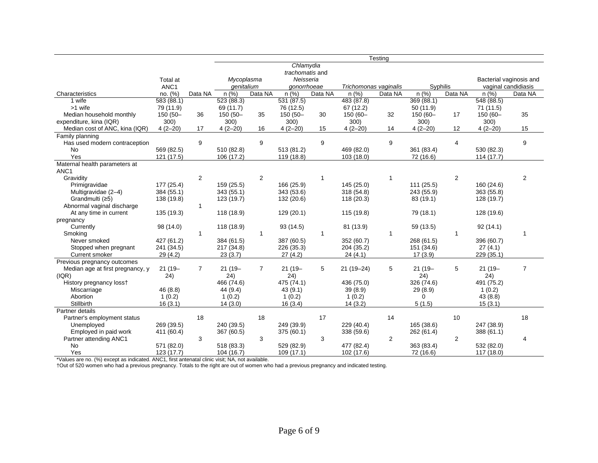|                                                   |            |                | Testing    |                |                 |              |                       |         |            |                |            |                         |
|---------------------------------------------------|------------|----------------|------------|----------------|-----------------|--------------|-----------------------|---------|------------|----------------|------------|-------------------------|
|                                                   |            |                | Chlamydia  |                |                 |              |                       |         |            |                |            |                         |
|                                                   |            |                |            |                | trachomatis and |              |                       |         |            |                |            |                         |
|                                                   | Total at   |                | Mycoplasma |                | Neisseria       |              |                       |         |            |                |            | Bacterial vaginosis and |
|                                                   | ANC1       |                | genitalium |                | gonorrhoeae     |              | Trichomonas vaginalis |         | Syphilis   |                |            | vaginal candidiasis     |
| Characteristics                                   | no. (%)    | Data NA        | n(%)       | Data NA        | n (%)           | Data NA      | n(%)                  | Data NA | n (%)      | Data NA        | $n$ (%)    | Data NA                 |
| 1 wife                                            | 583(88.1)  |                | 523(88.3)  |                | 531(87.5)       |              | 483 (87.8)            |         | 369(88.1)  |                | 548(88.5)  |                         |
| >1 wife                                           | 79 (11.9)  |                | 69 (11.7)  |                | 76 (12.5)       |              | 67 (12.2)             |         | 50(11.9)   |                | 71 (11.5)  |                         |
| Median household monthly                          | 150 (50-   | 36             | 150 (50-   | 35             | 150 (50-        | 30           | 150 (60-              | 32      | 150 (60-   | 17             | 150 (60-   | 35                      |
| expenditure, kina (IQR)                           | 300)       |                | 300)       |                | 300)            |              | 300)                  |         | 300)       |                | 300)       |                         |
| Median cost of ANC, kina (IQR)                    | $4(2-20)$  | 17             | $4(2-20)$  | 16             | $4(2-20)$       | 15           | $4(2-20)$             | 14      | $4(2-20)$  | 12             | $4(2-20)$  | 15                      |
| Family planning                                   |            |                |            |                |                 |              |                       |         |            |                |            |                         |
| Has used modern contraception                     |            | 9              |            | 9              |                 | 9            |                       | 9       |            | 4              |            | 9                       |
| No                                                | 569 (82.5) |                | 510 (82.8) |                | 513 (81.2)      |              | 469 (82.0)            |         | 361 (83.4) |                | 530 (82.3) |                         |
| Yes                                               | 121(17.5)  |                | 106 (17.2) |                | 119 (18.8)      |              | 103 (18.0)            |         | 72 (16.6)  |                | 114(17.7)  |                         |
| Maternal health parameters at<br>ANC <sub>1</sub> |            |                |            |                |                 |              |                       |         |            |                |            |                         |
| Gravidity                                         |            | 2              |            | $\overline{2}$ |                 | $\mathbf{1}$ |                       | 1       |            | 2              |            | 2                       |
| Primigravidae                                     | 177 (25.4) |                | 159 (25.5) |                | 166 (25.9)      |              | 145 (25.0)            |         | 111(25.5)  |                | 160 (24.6) |                         |
| Multigravidae (2-4)                               | 384 (55.1) |                | 343 (55.1) |                | 343 (53.6)      |              | 318 (54.8)            |         | 243 (55.9) |                | 363 (55.8) |                         |
| Grandmulti (≥5)                                   | 138 (19.8) |                | 123 (19.7) |                | 132 (20.6)      |              | 118 (20.3)            |         | 83 (19.1)  |                | 128 (19.7) |                         |
| Abnormal vaginal discharge                        |            | $\mathbf{1}$   |            |                |                 |              |                       |         |            |                |            |                         |
| At any time in current                            | 135 (19.3) |                | 118 (18.9) |                | 129 (20.1)      |              | 115 (19.8)            |         | 79 (18.1)  |                | 128 (19.6) |                         |
| pregnancy                                         |            |                |            |                |                 |              |                       |         |            |                |            |                         |
| Currently                                         | 98 (14.0)  |                | 118 (18.9) |                | 93(14.5)        |              | 81 (13.9)             |         | 59 (13.5)  |                | 92(14.1)   |                         |
| Smoking                                           |            | -1             |            | 1              |                 | 1            |                       | 1       |            | 1              |            |                         |
| Never smoked                                      | 427 (61.2) |                | 384 (61.5) |                | 387 (60.5)      |              | 352 (60.7)            |         | 268 (61.5) |                | 396 (60.7) |                         |
| Stopped when pregnant                             | 241 (34.5) |                | 217 (34.8) |                | 226 (35.3)      |              | 204 (35.2)            |         | 151 (34.6) |                | 27(4.1)    |                         |
| <b>Current smoker</b>                             | 29 (4.2)   |                | 23(3.7)    |                | 27(4.2)         |              | 24(4.1)               |         | 17(3.9)    |                | 229 (35.1) |                         |
| Previous pregnancy outcomes                       |            |                |            |                |                 |              |                       |         |            |                |            |                         |
| Median age at first pregnancy, y                  | $21(19 -$  | $\overline{7}$ | $21(19 -$  | $\overline{7}$ | $21(19 -$       | 5            | $21(19-24)$           | 5       | $21(19 -$  | 5              | $21(19 -$  | $\overline{7}$          |
| ( IQR)                                            | 24)        |                | 24)        |                | 24)             |              |                       |         | 24)        |                | 24)        |                         |
| History pregnancy loss+                           |            |                | 466 (74.6) |                | 475 (74.1)      |              | 436 (75.0)            |         | 326 (74.6) |                | 491 (75.2) |                         |
| Miscarriage                                       | 46 (8.8)   |                | 44 (9.4)   |                | 43(9.1)         |              | 39(8.9)               |         | 29(8.9)    |                | 1(0.2)     |                         |
| Abortion                                          | 1(0.2)     |                | 1(0.2)     |                | 1(0.2)          |              | 1(0.2)                |         | 0          |                | 43 (8.8)   |                         |
| <b>Stillbirth</b>                                 | 16(3.1)    |                | 14(3.0)    |                | 16(3.4)         |              | 14(3.2)               |         | 5(1.5)     |                | 15(3.1)    |                         |
| Partner details                                   |            |                |            |                |                 |              |                       |         |            |                |            |                         |
| Partner's employment status                       |            | 18             |            | 18             |                 | 17           |                       | 14      |            | 10             |            | 18                      |
| Unemployed                                        | 269 (39.5) |                | 240 (39.5) |                | 249 (39.9)      |              | 229 (40.4)            |         | 165 (38.6) |                | 247 (38.9) |                         |
| Employed in paid work                             | 411 (60.4) |                | 367 (60.5) |                | 375 (60.1)      |              | 338 (59.6)            |         | 262 (61.4) |                | 388 (61.1) |                         |
| Partner attending ANC1                            |            | 3              |            | 3              |                 | 3            |                       | 2       |            | $\overline{2}$ |            | 4                       |
| No                                                | 571 (82.0) |                | 518 (83.3) |                | 529 (82.9)      |              | 477 (82.4)            |         | 363 (83.4) |                | 532 (82.0) |                         |
| Yes                                               | 123 (17.7) |                | 104 (16.7) |                | 109(17.1)       |              | 102 (17.6)            |         | 72 (16.6)  |                | 117 (18.0) |                         |

\*Values are no. (%) except as indicated. ANC1, first antenatal clinic visit; NA, not available.

†Out of 520 women who had a previous pregnancy. Totals to the right are out of women who had a previous pregnancy and indicated testing.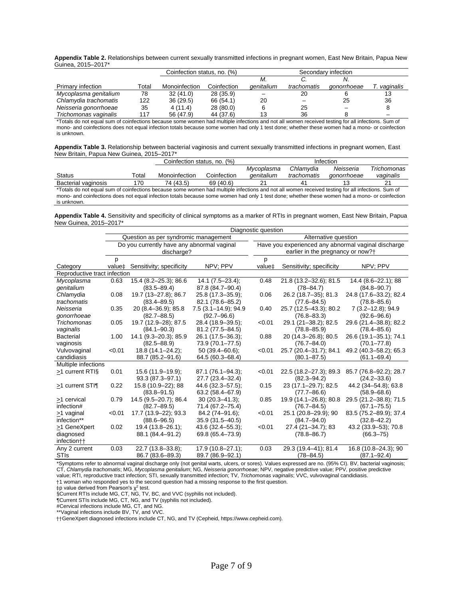| Appendix Table 2. Relationships between current sexually transmitted infections in pregnant women, East New Britain, Papua New |  |
|--------------------------------------------------------------------------------------------------------------------------------|--|
| Guinea, 2015-2017*                                                                                                             |  |

|                          |       | Coinfection status, no. (%) |             | Secondary infection |             |             |           |  |
|--------------------------|-------|-----------------------------|-------------|---------------------|-------------|-------------|-----------|--|
|                          |       |                             |             | М.                  |             |             |           |  |
| <b>Primary infection</b> | Total | Monoinfection               | Coinfection | <i>denitalium</i>   | trachomatis | aonorrhoeae | vaginalis |  |
| Mycoplasma genitalium    | 78    | 32(41.0)                    | 28 (35.9)   |                     | 20          |             | 13        |  |
| Chlamydia trachomatis    | 122   | 36(29.5)                    | 66 (54.1)   | 20                  |             | 25          | 36        |  |
| Neisseria gonorrhoeae    | 35    | 4(11.4)                     | 28(80.0)    |                     | 25          |             |           |  |
| Trichomonas vaginalis    | 117   | 56 (47.9)                   | 44 (37.6)   | 13                  | 36          |             | -         |  |

\*Totals do not equal sum of coinfections because some women had multiple infections and not all women received testing for all infections. Sum of mono- and coinfections does not equal infection totals because some women had only 1 test done; whether these women had a mono- or coinfection is unknown.

|                                           | Appendix Table 3. Relationship between bacterial vaginosis and current sexually transmitted infections in pregnant women, East |  |
|-------------------------------------------|--------------------------------------------------------------------------------------------------------------------------------|--|
| New Britain, Papua New Guinea, 2015-2017* |                                                                                                                                |  |

|                                                                                                                                                   |       | Coinfection status, no. (%) |             | Infection         |             |             |             |  |  |
|---------------------------------------------------------------------------------------------------------------------------------------------------|-------|-----------------------------|-------------|-------------------|-------------|-------------|-------------|--|--|
|                                                                                                                                                   |       |                             |             | Mycoplasma        | Chlamvdia   | Neisseria   | Trichomonas |  |  |
| <b>Status</b>                                                                                                                                     | Total | Monoinfection               | Coinfection | <i>denitalium</i> | trachomatis | gonorrhoeae | vaginalis   |  |  |
| <b>Bacterial vaginosis</b>                                                                                                                        | 170   | 74 (43.5)                   | 69 (40.6)   | 21                | 41          |             |             |  |  |
| *Totals do not equal sum of coinfections because some women had multiple infections and not all women received testing for all infections. Sum of |       |                             |             |                   |             |             |             |  |  |
| mono- and coinfections does not equal infection totals because some women had only 1 test done; whether these women had a mono- or coinfection    |       |                             |             |                   |             |             |             |  |  |
| is unknown.                                                                                                                                       |       |                             |             |                   |             |             |             |  |  |

**Appendix Table 4.** Sensitivity and specificity of clinical symptoms as a marker of RTIs in pregnant women, East New Britain, Papua New Guinea, 2015–2017\*

|                              | Diagnostic question |                                            |                      |                                                     |                                                                                                                                                       |                        |  |  |
|------------------------------|---------------------|--------------------------------------------|----------------------|-----------------------------------------------------|-------------------------------------------------------------------------------------------------------------------------------------------------------|------------------------|--|--|
|                              |                     | Question as per syndromic management       |                      | Alternative question                                |                                                                                                                                                       |                        |  |  |
|                              |                     | Do you currently have any abnormal vaginal |                      | Have you experienced any abnormal vaginal discharge |                                                                                                                                                       |                        |  |  |
|                              |                     | discharge?                                 |                      | earlier in the pregnancy or now?+                   |                                                                                                                                                       |                        |  |  |
|                              |                     |                                            |                      |                                                     |                                                                                                                                                       |                        |  |  |
| Category                     | value‡              | Sensitivity; specificity                   | NPV; PPV             | value‡                                              | Sensitivity; specificity                                                                                                                              | NPV; PPV               |  |  |
| Reproductive tract infection |                     |                                            |                      |                                                     |                                                                                                                                                       |                        |  |  |
| Mycoplasma                   | 0.63                | 15.4 (8.2-25.3); 86.6                      | $14.1 (7.5 - 23.4);$ | 0.48                                                | 21.8 (13.2-32.6); 81.5                                                                                                                                | 14.4 (8.6-22.1); 88    |  |  |
| genitalium                   |                     | $(83.5 - 89.4)$                            | 87.8 (84.7-90.4)     |                                                     | $(78 - 84.7)$                                                                                                                                         | $(84.8 - 90.7)$        |  |  |
| Chlamydia                    | 0.08                | 19.7 (13-27.8); 86.7                       | 25.8 (17.3-35.9);    | 0.06                                                | 26.2 (18.7-35); 81.3                                                                                                                                  | 24.8 (17.6-33.2); 82.4 |  |  |
| trachomatis                  |                     | $(83.4 - 89.5)$                            | 82.1 (78.6-85.2)     |                                                     | $(77.6 - 84.5)$                                                                                                                                       | $(78.8 - 85.6)$        |  |  |
| Neisseria                    | 0.35                | 20 (8.4-36.9); 85.8                        | 7.5 (3.1-14.9); 94.9 | 0.40                                                | 25.7 (12.5-43.3); 80.2                                                                                                                                | 7 (3.2-12.8); 94.9     |  |  |
| gonorrhoeae                  |                     | $(82.7 - 88.5)$                            | $(92.7 - 96.6)$      |                                                     | $(76.8 - 83.3)$                                                                                                                                       | $(92.6 - 96.6)$        |  |  |
| Trichomonas                  | 0.05                | 19.7 (12.9-28); 87.5                       | 28.4 (18.9-39.5);    | < 0.01                                              | 29.1 (21-38.2); 82.5                                                                                                                                  | 29.6 (21.4-38.8); 82.2 |  |  |
| vaginalis                    |                     | $(84.1 - 90.3)$                            | 81.2 (77.5-84.5)     |                                                     | $(78.8 - 85.9)$                                                                                                                                       | $(78.4 - 85.6)$        |  |  |
| <b>Bacterial</b>             | 1.00                | 14.1 (9.3-20.3); 85.9                      | 26.1 (17.5-36.3);    | 0.88                                                | 20 (14.3-26.8); 80.5                                                                                                                                  | 26.6 (19.1-35.1); 74.1 |  |  |
| vaginosis                    |                     | $(82.5 - 88.9)$                            | 73.9 (70.1-77.5)     |                                                     | $(76.7 - 84.0)$                                                                                                                                       | $(70.1 - 77.8)$        |  |  |
| Vulvovaginal                 | < 0.01              | 18.8 (14.1-24.2);                          | $50(39.4 - 60.6)$ ;  | < 0.01                                              | 25.7 (20.4-31.7); 84.1                                                                                                                                | 49.2 (40.3-58.2); 65.3 |  |  |
| candidiasis                  |                     | 88.7 (85.2-91.6)                           | 64.5 (60.3-68.4)     |                                                     | $(80.1 - 87.5)$                                                                                                                                       | $(61.1 - 69.4)$        |  |  |
| Multiple infections          |                     |                                            |                      |                                                     |                                                                                                                                                       |                        |  |  |
| >1 current RTIS              | 0.01                | 15.6 (11.9-19.9);                          | 87.1 (76.1-94.3);    | < 0.01                                              | 22.5 (18.2-27.3); 89.3                                                                                                                                | 85.7 (76.8-92.2); 28.7 |  |  |
|                              |                     | 93.3 (87.3-97.1)                           | 27.7 (23.4-32.4)     |                                                     | $(82.3 - 94.2)$                                                                                                                                       | $(24.2 - 33.6)$        |  |  |
| >1 current STI¶              | 0.22                | 15.8 (10.9-22); 88                         | 44.6 (32.3–57.5);    | 0.15                                                | 23 (17.1-29.7); 82.5                                                                                                                                  | 44.2 (34-54.8); 63.8   |  |  |
|                              |                     | $(83.8 - 91.5)$                            | $63.2(58.4 - 67.9)$  |                                                     | $(77.7 - 86.6)$                                                                                                                                       | $(58.9 - 68.6)$        |  |  |
| >1 cervical                  | 0.79                | 14.5 (9.5-20.7); 86.4                      | $30(20.3 - 41.3)$ ;  | 0.85                                                | 19.9 (14.1-26.8); 80.8                                                                                                                                | 29.5 (21.2-38.8); 71.5 |  |  |
| infection#                   |                     | $(82.7 - 89.5)$                            | 71.4 (67.2-75.4)     |                                                     | $(76.7 - 84.5)$                                                                                                                                       | $(67.1 - 75.5)$        |  |  |
| >1 vaginal                   | < 0.01              | 17.7 (13.9-22); 93.3                       | 84.2 (74-91.6);      | < 0.01                                              | 25.1 (20.8-29.9); 90                                                                                                                                  | 83.5 (75.2-89.9); 37.4 |  |  |
| infection**                  |                     | $(88.6 - 96.5)$                            | $35.9(31.5 - 40.5)$  |                                                     | $(84.7 - 94.0)$                                                                                                                                       | $(32.8 - 42.2)$        |  |  |
| >1 GeneXpert                 | 0.02                | 19.4 (13.8-26.1);                          | 43.6 (32.4–55.3);    | < 0.01                                              | 27.4 (21-34.7); 83                                                                                                                                    | 43.2 (33.9-53); 70.8   |  |  |
| diagnosed                    |                     | 88.1 (84.4-91.2)                           | 69.8 (65.4–73.9)     |                                                     | $(78.8 - 86.7)$                                                                                                                                       | $(66.3 - 75)$          |  |  |
| infection <sup>++</sup>      |                     |                                            |                      |                                                     |                                                                                                                                                       |                        |  |  |
| Any 2 current                | 0.03                | 22.7 (13.8-33.8);                          | $17.9(10.8 - 27.1);$ | 0.03                                                | 29.3 (19.4-41); 81.4                                                                                                                                  | 16.8 (10.8-24.3); 90   |  |  |
| <b>STIs</b>                  |                     | 86.7 (83.6-89.3)                           | 89.7 (86.9-92.1)     |                                                     | $(78 - 84.5)$                                                                                                                                         | $(87.1 - 92.4)$        |  |  |
|                              |                     |                                            |                      |                                                     | *Symptoms refer to abnormal vaginal discharge only (not gonital warts, ulcers, er serge). Values expressed are no. (QE% CI), BV, bacterial vaginesis: |                        |  |  |

\*Symptoms refer to abnormal vaginal discharge only (not genital warts, ulcers, or sores). Values expressed are no. (95% CI). BV, bacterial vaginosis; CT, *Chlamydia trachomatis*; MG, *Mycoplasma genitalium*; NG, *Neisseria gonorrhoeae*; NPV, negative predictive value; PPV, positive predictive value; RTI, reproductive tract infection; STI, sexually transmitted infection; TV, *Trichomonas vaginalis*; VVC, vulvovaginal candidiasis. †1 woman who responded yes to the second question had a missing response to the first question.

 $\#$ p value derived from Pearson's  $\chi^2$  test.

§Current RTIs include MG, CT, NG, TV, BC, and VVC (syphilis not included).

¶Current STIs include MG, CT, NG, and TV (syphilis not included).

#Cervical infections include MG, CT, and NG.

\*\*Vaginal infections include BV, TV, and VVC.

††GeneXpert diagnosed infections include CT, NG, and TV (Cepheid, https://www.cepheid.com).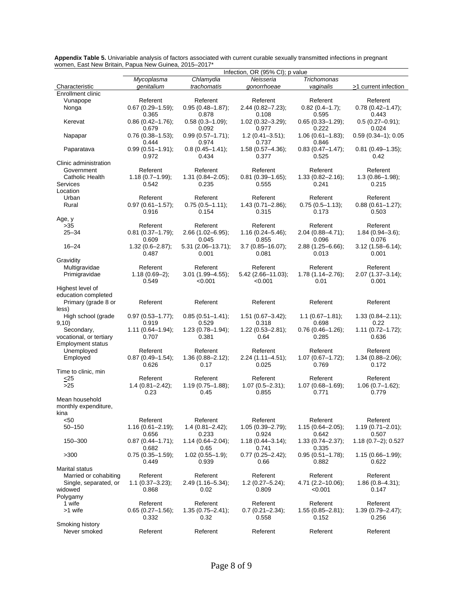|                                                     | Infection, OR (95% CI); p value           |                                          |                                          |                                           |                                           |  |  |
|-----------------------------------------------------|-------------------------------------------|------------------------------------------|------------------------------------------|-------------------------------------------|-------------------------------------------|--|--|
|                                                     | Mycoplasma                                | Chlamydia                                | Neisseria                                | <b>Trichomonas</b>                        |                                           |  |  |
| Characteristic                                      | qenitalium                                | trachomatis                              | gonorrhoeae                              | vaginalis                                 | $\geq$ 1 current infection                |  |  |
| Enrollment clinic                                   |                                           |                                          |                                          |                                           |                                           |  |  |
| Vunapope                                            | Referent                                  | Referent                                 | Referent                                 | Referent                                  | Referent                                  |  |  |
| Nonga                                               | $0.67(0.29 - 1.59)$ ;<br>0.365            | $0.95(0.48 - 1.87);$<br>0.878            | $2.44(0.82 - 7.23);$<br>0.108            | $0.82$ (0.4-1.7);<br>0.595                | $0.78(0.42 - 1.47);$<br>0.443             |  |  |
| Kerevat                                             | $0.86(0.42 - 1.76);$<br>0.679             | $0.58(0.3 - 1.09);$<br>0.092             | $1.02(0.32 - 3.29);$<br>0.977            | $0.65(0.33 - 1.29);$<br>0.222             | $0.5(0.27 - 0.91);$<br>0.024              |  |  |
| Napapar                                             | $0.76(0.38 - 1.53);$<br>0.444             | $0.99(0.57 - 1.71);$<br>0.974            | $1.2(0.41 - 3.51);$<br>0.737             | $1.06(0.61 - 1.83);$<br>0.846             | $0.59(0.34-1); 0.05$                      |  |  |
| Paparatava                                          | $0.99(0.51 - 1.91);$<br>0.972             | $0.8(0.45 - 1.41);$<br>0.434             | 1.58 (0.57-4.36);<br>0.377               | $0.83(0.47 - 1.47);$<br>0.525             | $0.81(0.49 - 1.35)$ ;<br>0.42             |  |  |
| Clinic administration                               |                                           |                                          |                                          |                                           |                                           |  |  |
| Government                                          | Referent                                  | Referent                                 | Referent                                 | Referent                                  | Referent                                  |  |  |
| <b>Catholic Health</b>                              | $1.18(0.7 - 1.99);$                       | $1.31(0.84 - 2.05);$                     | $0.81(0.39 - 1.65);$                     | $1.33(0.82 - 2.16);$                      | $1.3(0.86 - 1.98);$                       |  |  |
| Services<br>Location                                | 0.542                                     | 0.235                                    | 0.555                                    | 0.241                                     | 0.215                                     |  |  |
| Urban                                               | Referent                                  | Referent                                 | Referent                                 | Referent                                  | Referent                                  |  |  |
| Rural                                               | $0.97(0.61 - 1.57);$<br>0.916             | $0.75(0.5 - 1.11);$<br>0.154             | $1.43(0.71 - 2.86);$<br>0.315            | $0.75(0.5 - 1.13);$<br>0.173              | $0.88(0.61 - 1.27);$<br>0.503             |  |  |
| Age, y                                              |                                           |                                          |                                          |                                           |                                           |  |  |
| $>35$                                               | Referent                                  | Referent                                 | Referent                                 | Referent                                  | Referent                                  |  |  |
| $25 - 34$                                           | $0.81$ (0.37-1.79);<br>0.609              | $2.66(1.02 - 6.95);$<br>0.045            | $1.16(0.24 - 5.46);$<br>0.855            | $2.04(0.88 - 4.71)$ ;<br>0.096            | $1.84(0.94 - 3.6);$<br>0.076              |  |  |
| $16 - 24$                                           | $1.32(0.6 - 2.87)$ ;<br>0.487             | $5.31(2.06 - 13.71);$<br>0.001           | $3.7(0.85 - 16.07);$<br>0.081            | $2.88(1.25 - 6.66);$<br>0.013             | $3.12(1.58 - 6.14);$<br>0.001             |  |  |
| Gravidity                                           |                                           |                                          |                                          |                                           |                                           |  |  |
| Multigravidae<br>Primigravidae                      | Referent<br>$1.18(0.69-2)$ ;              | Referent<br>$3.01(1.99 - 4.55);$         | Referent<br>$5.42$ (2.66-11.03);         | Referent<br>$1.78(1.14 - 2.76);$          | Referent<br>$2.07(1.37 - 3.14);$          |  |  |
| Highest level of                                    | 0.549                                     | < 0.001                                  | < 0.001                                  | 0.01                                      | 0.001                                     |  |  |
| education completed<br>Primary (grade 8 or<br>less) | Referent                                  | Referent                                 | Referent                                 | Referent                                  | Referent                                  |  |  |
| High school (grade<br>9,10)                         | $0.97(0.53 - 1.77);$<br>0.919             | $0.85(0.51 - 1.41);$<br>0.529            | $1.51(0.67 - 3.42);$<br>0.318            | $1.1(0.67 - 1.81);$<br>0.698              | $1.33(0.84 - 2.11);$<br>0.22              |  |  |
| Secondary,                                          | $1.11(0.64 - 1.94);$                      | $1.23(0.78 - 1.94);$                     | $1.22(0.53 - 2.81);$                     | $0.76(0.46 - 1.26);$                      | $1.11(0.72 - 1.72);$                      |  |  |
| vocational, or tertiary<br><b>Employment status</b> | 0.707                                     | 0.381                                    | 0.64                                     | 0.285                                     | 0.636                                     |  |  |
| Unemployed                                          | Referent                                  | Referent                                 | Referent                                 | Referent                                  | Referent                                  |  |  |
| Employed                                            | $0.87(0.49 - 1.54);$                      | 1.36 (0.88-2.12);                        | $2.24(1.11 - 4.51);$                     | $1.07(0.67 - 1.72);$                      | $1.34(0.88 - 2.06);$                      |  |  |
|                                                     | 0.626                                     | 0.17                                     | 0.025                                    | 0.769                                     | 0.172                                     |  |  |
| Time to clinic, min                                 | Referent                                  | Referent                                 | Referent                                 | Referent                                  | Referent                                  |  |  |
| $<$ 25<br>$>25$                                     | $1.4(0.81 - 2.42);$<br>0.23               | $1.19(0.75 - 1.88);$<br>0.45             | $1.07(0.5 - 2.31);$<br>0.855             | $1.07(0.68 - 1.69);$<br>0.771             | $1.06(0.7 - 1.62);$<br>0.779              |  |  |
| Mean household<br>monthly expenditure,              |                                           |                                          |                                          |                                           |                                           |  |  |
| kina                                                |                                           |                                          |                                          |                                           |                                           |  |  |
| < 50<br>$50 - 150$                                  | Referent<br>$1.16(0.61 - 2.19);$          | Referent<br>$1.4(0.81 - 2.42);$          | Referent<br>$1.05(0.39 - 2.79);$         | Referent<br>$1.15(0.64 - 2.05);$          | Referent<br>$1.19(0.71 - 2.01);$          |  |  |
| 150-300                                             | 0.656<br>$0.87(0.44 - 1.71);$             | 0.233<br>$1.14(0.64 - 2.04);$            | 0.924<br>$1.18(0.44 - 3.14);$            | 0.642<br>$1.33(0.74 - 2.37);$             | 0.507<br>$1.18(0.7-2); 0.527$             |  |  |
| >300                                                | 0.682<br>$0.75(0.35-1.59);$               | 0.65<br>$1.02(0.55 - 1.9);$              | 0.741<br>$0.77(0.25 - 2.42);$            | 0.335<br>$0.95(0.51 - 1.78);$             | $1.15(0.66 - 1.99);$                      |  |  |
|                                                     | 0.449                                     | 0.939                                    | 0.66                                     | 0.882                                     | 0.622                                     |  |  |
| Marital status                                      |                                           |                                          |                                          |                                           |                                           |  |  |
| Married or cohabiting                               | Referent                                  | Referent                                 | Referent                                 | Referent                                  | Referent                                  |  |  |
| Single, separated, or<br>widowed                    | $1.1(0.37 - 3.23);$<br>0.868              | $2.49(1.16 - 5.34);$<br>0.02             | $1.2(0.27 - 5.24);$<br>0.809             | $4.71(2.2-10.06);$<br>< 0.001             | $1.86(0.8 - 4.31);$<br>0.147              |  |  |
| Polygamy                                            |                                           |                                          |                                          |                                           |                                           |  |  |
| 1 wife<br>>1 wife                                   | Referent<br>$0.65(0.27 - 1.56);$<br>0.332 | Referent<br>$1.35(0.75 - 2.41);$<br>0.32 | Referent<br>$0.7(0.21 - 2.34);$<br>0.558 | Referent<br>$1.55(0.85 - 2.81);$<br>0.152 | Referent<br>$1.39(0.79 - 2.47);$<br>0.256 |  |  |
| Smoking history                                     |                                           |                                          |                                          |                                           |                                           |  |  |
| Never smoked                                        | Referent                                  | Referent                                 | Referent                                 | Referent                                  | Referent                                  |  |  |

**Appendix Table 5.** Univariable analysis of factors associated with current curable sexually transmitted infections in pregnant women, East New Britain, Papua New Guinea, 2015–2017\*